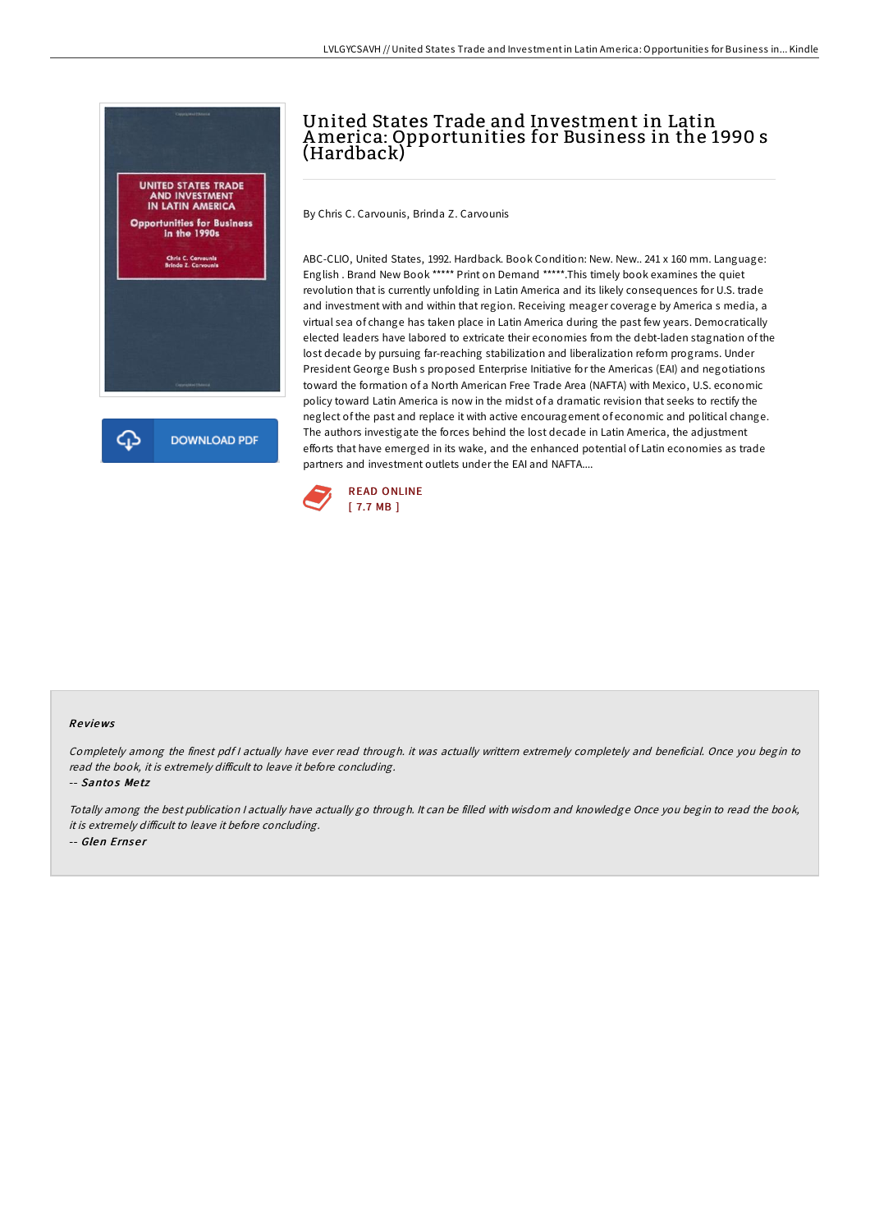

## United States Trade and Investment in Latin America: Opportunities for Business in the 1990 s (Hardback)

By Chris C. Carvounis, Brinda Z. Carvounis

ABC-CLIO, United States, 1992. Hardback. Book Condition: New. New.. 241 x 160 mm. Language: English . Brand New Book \*\*\*\*\* Print on Demand \*\*\*\*\*.This timely book examines the quiet revolution that is currently unfolding in Latin America and its likely consequences for U.S. trade and investment with and within that region. Receiving meager coverage by America s media, a virtual sea of change has taken place in Latin America during the past few years. Democratically elected leaders have labored to extricate their economies from the debt-laden stagnation of the lost decade by pursuing far-reaching stabilization and liberalization reform programs. Under President George Bush s proposed Enterprise Initiative for the Americas (EAI) and negotiations toward the formation of a North American Free Trade Area (NAFTA) with Mexico, U.S. economic policy toward Latin America is now in the midst of a dramatic revision that seeks to rectify the neglect of the past and replace it with active encouragement of economic and political change. The authors investigate the forces behind the lost decade in Latin America, the adjustment efforts that have emerged in its wake, and the enhanced potential of Latin economies as trade partners and investment outlets under the EAI and NAFTA....



## Re views

Completely among the finest pdf <sup>I</sup> actually have ever read through. it was actually writtern extremely completely and beneficial. Once you begin to read the book, it is extremely difficult to leave it before concluding.

-- Santos Metz

Totally among the best publication <sup>I</sup> actually have actually go through. It can be filled with wisdom and knowledge Once you begin to read the book, it is extremely difficult to leave it before concluding. -- Glen Ernse <sup>r</sup>